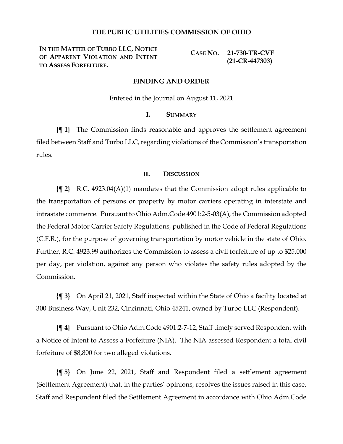## **THE PUBLIC UTILITIES COMMISSION OF OHIO**

**IN THE MATTER OF TURBO LLC, NOTICE OF APPARENT VIOLATION AND INTENT TO ASSESS FORFEITURE.**

**CASE NO. 21-730-TR-CVF (21-CR-447303)**

### **FINDING AND ORDER**

Entered in the Journal on August 11, 2021

## **I. SUMMARY**

**{¶ 1}** The Commission finds reasonable and approves the settlement agreement filed between Staff and Turbo LLC, regarding violations of the Commission's transportation rules.

#### **II. DISCUSSION**

**{¶ 2}** R.C. 4923.04(A)(1) mandates that the Commission adopt rules applicable to the transportation of persons or property by motor carriers operating in interstate and intrastate commerce. Pursuant to Ohio Adm.Code 4901:2-5-03(A), the Commission adopted the Federal Motor Carrier Safety Regulations, published in the Code of Federal Regulations (C.F.R.), for the purpose of governing transportation by motor vehicle in the state of Ohio. Further, R.C. 4923.99 authorizes the Commission to assess a civil forfeiture of up to \$25,000 per day, per violation, against any person who violates the safety rules adopted by the Commission.

**{¶ 3}** On April 21, 2021, Staff inspected within the State of Ohio a facility located at 300 Business Way, Unit 232, Cincinnati, Ohio 45241, owned by Turbo LLC (Respondent).

**{¶ 4}** Pursuant to Ohio Adm.Code 4901:2-7-12, Staff timely served Respondent with a Notice of Intent to Assess a Forfeiture (NIA). The NIA assessed Respondent a total civil forfeiture of \$8,800 for two alleged violations.

**{¶ 5}** On June 22, 2021, Staff and Respondent filed a settlement agreement (Settlement Agreement) that, in the parties' opinions, resolves the issues raised in this case. Staff and Respondent filed the Settlement Agreement in accordance with Ohio Adm.Code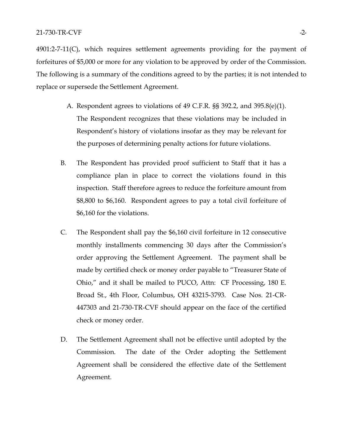4901:2-7-11(C), which requires settlement agreements providing for the payment of forfeitures of \$5,000 or more for any violation to be approved by order of the Commission. The following is a summary of the conditions agreed to by the parties; it is not intended to replace or supersede the Settlement Agreement.

- A. Respondent agrees to violations of 49 C.F.R. §§ 392.2, and 395.8(e)(1). The Respondent recognizes that these violations may be included in Respondent's history of violations insofar as they may be relevant for the purposes of determining penalty actions for future violations.
- B. The Respondent has provided proof sufficient to Staff that it has a compliance plan in place to correct the violations found in this inspection. Staff therefore agrees to reduce the forfeiture amount from \$8,800 to \$6,160. Respondent agrees to pay a total civil forfeiture of \$6,160 for the violations.
- C. The Respondent shall pay the \$6,160 civil forfeiture in 12 consecutive monthly installments commencing 30 days after the Commission's order approving the Settlement Agreement. The payment shall be made by certified check or money order payable to "Treasurer State of Ohio," and it shall be mailed to PUCO, Attn: CF Processing, 180 E. Broad St., 4th Floor, Columbus, OH 43215-3793. Case Nos. 21-CR-447303 and 21-730-TR-CVF should appear on the face of the certified check or money order.
- D. The Settlement Agreement shall not be effective until adopted by the Commission. The date of the Order adopting the Settlement Agreement shall be considered the effective date of the Settlement Agreement.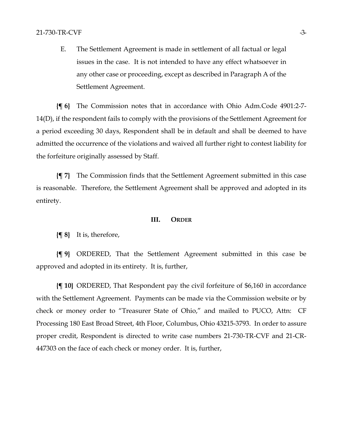E. The Settlement Agreement is made in settlement of all factual or legal issues in the case. It is not intended to have any effect whatsoever in any other case or proceeding, except as described in Paragraph A of the Settlement Agreement.

**{¶ 6}** The Commission notes that in accordance with Ohio Adm.Code 4901:2-7- 14(D), if the respondent fails to comply with the provisions of the Settlement Agreement for a period exceeding 30 days, Respondent shall be in default and shall be deemed to have admitted the occurrence of the violations and waived all further right to contest liability for the forfeiture originally assessed by Staff.

**{¶ 7}** The Commission finds that the Settlement Agreement submitted in this case is reasonable. Therefore, the Settlement Agreement shall be approved and adopted in its entirety.

#### **III. ORDER**

**{¶ 8}** It is, therefore,

**{¶ 9}** ORDERED, That the Settlement Agreement submitted in this case be approved and adopted in its entirety. It is, further,

**{¶ 10}** ORDERED, That Respondent pay the civil forfeiture of \$6,160 in accordance with the Settlement Agreement. Payments can be made via the Commission website or by check or money order to "Treasurer State of Ohio," and mailed to PUCO, Attn: CF Processing 180 East Broad Street, 4th Floor, Columbus, Ohio 43215-3793. In order to assure proper credit, Respondent is directed to write case numbers 21-730-TR-CVF and 21-CR-447303 on the face of each check or money order. It is, further,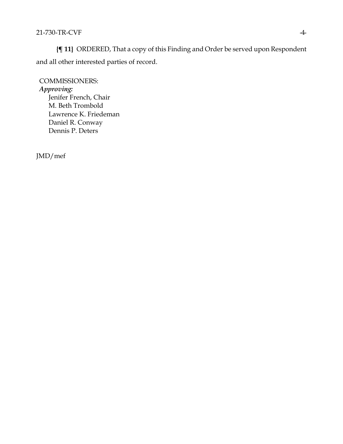**{¶ 11}** ORDERED, That a copy of this Finding and Order be served upon Respondent and all other interested parties of record.

COMMISSIONERS: *Approving:*  Jenifer French, Chair M. Beth Trombold Lawrence K. Friedeman Daniel R. Conway Dennis P. Deters

JMD/mef